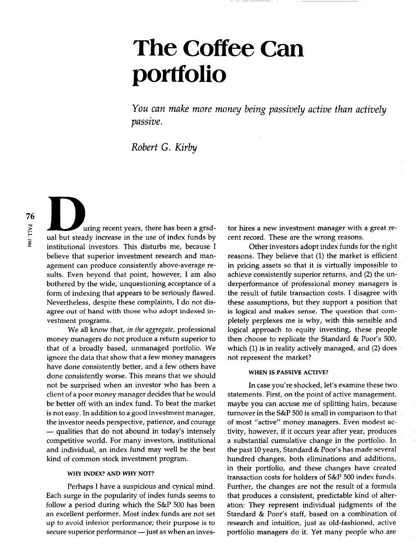# **The Coffee Can portfolio**

*You can make more money being passively active than actively passive.* 

*Robert G. Kirby* 

76 **b** 861 **T** 

uring recent years, there has been a gradual but steady increase in the use of index funds by institutional investors. This disturbs me, because I believe that superior investment research and management can produce consistently above-average results. Even beyond that point, however, I am also bothered by the wide, unquestioning acceptance of a form of indexing that appears to be seriously flawed. Nevertheless, despite these complaints, **1** do not disagree out of hand with those who adopt indexed investment programs.

We all know that, *in the aggregate,* professional money managers do not produce a return superior to that of a broadly based, unmanaged portfolio. We ignore the data that show that a few money managers have done consistently better, and a few others have done consistently worse. This means that we should not be surprised when an investor who has been a client of a poor money manager decides that he would be better off with an index fund. To beat the market is not easy. In addition to a good investment manager, the investor needs perspective, patience, and courage is not easy. In addition to a good investment manager,<br>the investor needs perspective, patience, and courage<br>— qualities that do not abound in today's intensely competitive world. For many investors, institutional and individual, an index fund may well be the best kind of common stock investment program.

#### **WHY INDEX? AND WHY NOT?**

Perhaps I have a suspicious and cynical mind. Each surge in the popularity of index funds seems to follow a period during which the S&P 500 has been an excellent performer. Most index funds are not set up to avoid inferior performance; their purpose is to an excellent performer. Most index funds are not set<br>up to avoid inferior performance; their purpose is to<br>secure superior performance — just as when an investor hires a new investment manager with a great recent record. These are the wrong reasons.

Other investors adopt index funds for the right reasons. They believe that (1) the market is efficient in pricing assets so that it is virtually impossible to achieve consistently superior returns, and (2) the underperformance of professional money managers is the result of futile transaction costs. I disagree with these assumptions, but they support a position that is logical and makes sense. The question that completely perplexes me is why, with this sensible and logical approach to equity investing, these people then choose to replicate the Standard & Poor's 500, which (1) is in reality actively managed, and (2) does not represent the market?

#### **WHEN IS PASSIVE ACTIVE?**

In case you're shocked, let's examine these two statements. First, on the point of active management, maybe you can accuse me of splitting hairs, because turnover in the **S&P** 500 is small in comparison to that of most "active" money managers. Even modest activity, however, if it occurs year after year, produces a substantial cumulative change in the portfolio. In the past 10 years, Standard & Poor's has made several hundred changes, both eliminations and additions, in their portfolio, and these changes have created transaction costs for holders of S&P 500 index funds. Further, the changes are not the result of a formula that produces a consistent, predictable kind of alteration: They represent individual judgments **of** the Standard & Poor's staff, based on a combination of research and intuition, just as old-fashioned, active portfolio managers do it. Yet many people who are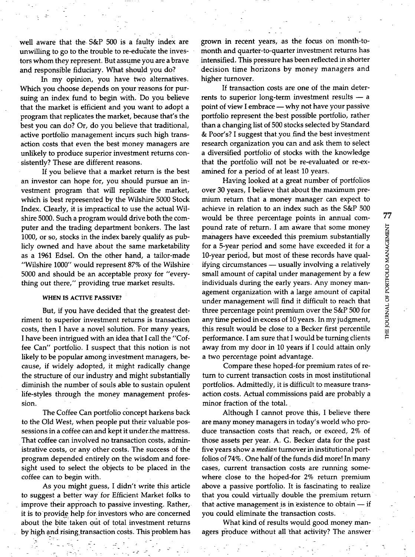well aware that the S&P 500 is a faulty index are unwilling to go to the trouble to re-educate the investors whom they represent. But assume you are a brave and responsible fiduciary. What should you do?

.. ..

..

In my opinion, you have two alternatives. Which you choose depends on your reasons for pursuing an index fund to begin with. Do you believe that the market is efficient and you want to adopt a program that replicates the market, because that's the best you can do? Or, do you believe that traditional, active portfolio management incurs such high transaction costs that even the best money managers are unlikely to produce superior investment returns consistently? These are different reasons.

If you believe that a market return is the best an investor can hope for, you should pursue an investment program that will replicate the market, which is best represented by the Wilshire 5000 Stock Index. Clearly, it is impractical to use the actual Wilshire 5000. Such a program would drive both the computer and the trading department bonkers. The last 1000, or so, stocks in the index barely qualify as publicly owned and have about the same marketability as a 1961 Edsel. On the other hand, a tailor-made "Wilshire 1000" would represent 87% of the Wilshire 5000 and should be an acceptable proxy for "everything out there," providing true market results.

#### **WHEN IS ACTIVE PASSIVE?**

But, if you have decided that the greatest detriment to superior investment returns is transaction costs, then I have a novel solution. For many years, I have been intrigued with an idea that I call the "Coffee Can" portfolio. I suspect that this notion is not likely to be popular among investment managers, because, if widely adopted, it might radically change the structure of our industry and might substantially diminish the number of souls able to sustain opulent life-styles through the money management profession.

The Coffee Can portfolio concept harkens back to the Old West, when people put their valuable possessions in a coffee can and kept it under-the mattress. That coffee can involved no transaction costs, administrative costs, or any other costs. The success of the program depended entirely on the wisdom and foresight used to select the objects to be placed in the coffee can to begin with.

As you might guess, I didn't write this article to suggest a better way for Efficient Market folks to improve their approach to passive investing. Rather, it is to provide help for investors who are concerned about the bite taken out of total investment returns by high and rising transaction costs. This problem has

> -\_ - -- -- -\_ - -\_

grown in recent years, as the focus on month-tomonth and quarter-to-quarter investment returns has intensified, This pressure has been reflected in shorter decision time horizons by money managers and higher turnover.

If transaction costs are one of the main deterrents to superior long-term investment results  $-$  a point of view I embrace - why not have your passive portfolio represent the best possible portfolio, rather than a changing list of 500 stocks selected by Standard & Poor's? I suggest that you find the best investment research organization you can and ask them to select a diversified portfolio of stocks with the knowledge that the portfolio will not be re-evaluated or re-examined for a period of at least 10 years.

Having looked at a great number of portfolios over 30 years, I believe that about the maximum premium return that a money manager can expect to achieve in relation to an index such as the S&P 500 would be three percentage points in annual compound rate of return. I am aware that some money managers have exceeded this premium substantially for a 5-year period and some have exceeded it for a 10-year period, but most of these records have qualifying circumstances - usually involving a relatively small amount of capital under management by a few individuals during the early years. Any money management organization with a large amount of capital under management will find it difficult to reach that three percentage point premium over the S&P 500 for any time period in excess of 10 years. In my judgment, this result would be close to a Becker first percentile performance. I am sure that I would be turning clients away from my door in 10 years if I could attain only a two percentage point advantage.

Compare these hoped-for premium rates of return to current transaction costs in most institutional portfolios. Admittedly, it is difficult to measure transaction costs. Actual commissions paid are probably a minor fraction of the total.

Although I cannot prove this, I believe there are many money managers in today's world who produce transaction costs that reach, or exceed, 2% of those assets per year. A. G. Becker data for the past five years show a *median* turnover in institutional portfolios of **74%.** One half of the funds did more! In many cases, current transaction costs are running somewhere close to the hoped-for **2%** return premium above a passive portfolio. It is fascinating to realize that you could virtually double the premium return that active management is in existence to obtain  $-$  if you could eliminate the transaction costs.

What kind of results would good money managers produce without all that activity? The answer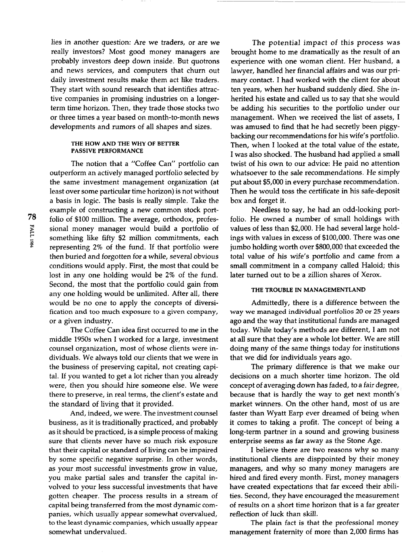lies in another question: Are we traders, or are we really investors? Most good money managers are probably investors deep down inside. But quotrons and news services, and computers that churn out daily investment results make them act like traders. They start with sound research that identifies attractive companies in promising industries on a longerterm time horizon. Then, they trade those stocks two or three times a year based on month-to-month news developments and rumors of all shapes and sizes.

## **THE HOW AND THE WHY OF BETTER PASSIVE PERFORMANCE**

The notion that a "Coffee Can" portfolio can outperform an actively managed portfolio selected by the same investment management organization (at least over some particular time horizon) is not without a basis in logic. The basis is really simple. Take the example of constructing a new common stock portfolio of \$100 million. The average, orthodox, professional money manager would build a portfolio of something like fifty **\$2** million commitments, each representing **2%** of the fund. If that portfolio were then buried and forgotten for a while, several obvious conditions would apply. First, the most that could be lost in any one holding would be **2%** of the fund. Second, the most that the portfolio could gain from any one holding would be unlimited. After all, there would be no one to apply the concepts of diversification and too much exposure to a given company, or a given industry.

The Coffee Can idea first occurred to me in the middle 1950s when I worked for a large, investment counsel organization, most of whose clients were individuals. We always told our clients that we were in the business of preserving capital, not creating capital. If you wanted to get a lot richer than you already were, then you should hire someone else. We were there to preserve, in real terms, the client's estate and the standard of living that it provided.

And, indeed, we were. The investment counsel business, as it is traditionally practiced, and probably as it should be practiced, is a simple process of making sure that clients never have so much **risk** exposure that their capital or standard of living can be impaired by some specific negative surprise. In other words, as your most successful investments grow in value, you make partial sales and transfer the capital involved to your less successful investments that have gotten cheaper. The process results in a stream of capital being transferred from the most dynamic companies, which usually appear somewhat overvalued, to the least dynamic companies, which usually appear somewhat undervalued.

The potential impact of this process was brought home to me dramatically as the result of an experience with one woman client. Her husband, a lawyer, handled her financial affairs and was our primary contact. I had worked with the client for about ten years, when her husband suddenly died. She inherited his estate and called us to say that she would be adding his securities to the portfolio under our management. When we received the list of assets, I was amused to find that he had secretly been piggybacking our recommendations for his wife's portfolio. Then, when I looked at the total value of the estate, **1** was also shocked. The husband had applied a small twist of his own to our advice: He paid no attention whatsoever to the sale recommendations. He simply put about \$5,000 in every purchase recommendation. Then he would toss the certificate in his safe-deposit box and forget it.

Needless to say, he had an odd-looking portfolio. He owned a number of small holdings with values of less than \$2,000. He had several large holdings with values in excess of \$100,000. There was one jumbo holding worth over \$800,000 that exceeded the total value of his wife's portfolio and came from a small commitment in a company called Haloid; this later turned out to be a zillion shares of Xerox.

# **THE TROUBLE IN MANAGEMENTLAND**

Admittedly, there is a difference between the way **we** managed individual portfolios 20 **or** 25 years ago and the way that institutional funds are managed today. While today's methods are different, I am not at all sure that they are a whole lot better. We are still doing many of the same things today for institutions that we did for individuals years ago.

The primary difference is that we make our decisions on a much shorter time horizon. The old concept of averaging down has faded, to a fair degree, because that is hardly the way to get next month's market winners, On the other hand, most of **us** are faster than Wyatt Earp ever dreamed of being when it comes to taking a profit. The concept of being a long-term partner in a sound and growing business enterprise seems as far away as the Stone Age.

I believe there are two reasons why so many institutional clients are disppointed by their money managers, and why so many money managers are hired and fired every month. First, money managers have created expectations that far exceed their abilities. Second, they have encouraged the measurement of results on a short time horizon that is a far greater reflection of luck than skill.

The plain fact is that the professional money management fraternity of more than 2,000 firms has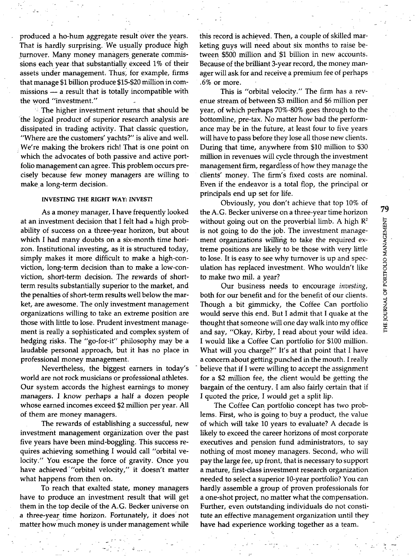produced a ho-hum aggregate result over the years. That is hardly surprising. We usually produce high turnover. Many money managers generate commissions each year that substantially exceed 1% of their assets under management. Thus, for example, firms assets under management. Thus, for example, minis<br>that manage \$1 billion produce \$15-\$20 million in com-<br>missions — a result that is totally incompatible with the word "investment."

The higher investment returns that should be the logical product of superior research analysis are dissipated in trading activity. That classic question, "Where are the customers' yachts?" is alive and well. We're making the brokers rich! That is one point on which the advocates of both passive and active portfolio management can agree. This problem occurs precisely because few money managers are willing to make a long-term decision.

### **INVESTING THE RIGHT WAY: INVEST!**

As a money manager, I have frequently looked at an investment decision that I felt had **a** high probability of success on a three-year horizon, but about which I had many doubts on a six-month time horizon. Institutional investing, as it is structured today, simply makes it more difficult to make a high-conviction, long-term decision than to make a low-conviction, short-term decision. The rewards of shortterm results substantially superior to the market, and the penalties of short-term results well below the market, are awesome. The only investment management organizations willing to take an extreme position are those with little to lose. Prudent investment management is really a sophisticated and complex system of hedging risks. The "go-for-it" philosophy may be a laudable personal approach, but it has no place in professional money management.

Nevertheless, the biggest earners in today's world are not rock musicians or professional athletes. Our system accords the highest earnings to money managers. I know perhaps a half a dozen people whose earned incomes exceed **\$2** million per year. All of them are money managers.

The rewards of establishing a successful, new investment management organization over the past five years have been mind-boggling. This success requires achieving something I would call "orbital velocity." You escape the force of gravity. Once you have achieved "orbital velocity," it doesn't matter what happens from then on.

To reach that exalted state, money managers have to produce an investment result that will get them in the top decile of the A.G. Becker universe on a three-year time horizon. Fortunately, it does not matter how-much money is under management while

.- - - - - - -

this record is achieved. Then, a couple of skilled marketing guys will need about six months to raise between \$500 million and \$1 billion in new accounts. Because of the brilliant 3-year record, the money manager will ask for and receive a premium fee of perhaps *.6%* or more.

This is "orbital velocity." The firm has a revenue stream of between **\$3** million and \$6 million per year, of which perhaps 70%-80% goes through to the bottomline, pre-tax. No matter how bad the performance may be in the future, at least four to five years will have to pass before they lose all those new clients. During that time, anywhere from \$10 million to \$30 million in revenues will cycle through the investment management firm, regardless of how they manage the clients' money. The firm's fixed costs are nominal. Even if the endeavor is a total flop, the principal or principals end up set for life.

Obviously, you don't achieve that top 10% of the A.G. Becker universe on a three-year time horizon without going out on the proverbial limb. **A** high **R2**  is not going to do the job. The investment management organizations willing to take the required extreme positions are likely to be those with very little to lose. It is easy to see why turnover is up and speculation has replaced investment. Who wouldn't like to make two mil. a year?

Our business needs to encourage *investing,*  both for our benefit and for the benefit of our clients. Though a bit gimmicky, the Coffee Can portfolio would serve this end. But I admit that I quake at the thought that someone will one day walk into my office and say, "Okay, Kirby, I read about your wild idea. I would like a Coffee Can portfolio for \$100 million. What will you charge?" It's at that point that I have a concern about getting punched in the mouth. **I** really believe that if I were willing to accept the assignment for a **\$2** million fee, the client would be getting the bargain of the century. I am also fairly certain that if **I** quoted the price, **I** would get a split lip.

The Coffee Can portfolio concept has two problems. First, who is going to buy a product, the value of which will take 10 years to evaluate? A decade is likely to exceed the career horizons of most corporate executives and pension fund administrators, to say nothing of most money managers. Second, who will pay the large fee, up front, that is necessary to support a mature, first-class investment research organization needed to select a superior 10-year portfolio? You can hardly assemble a group of proven professionals for a one-shot project, no matter what the compensation. Further, even outstanding individuals do not constitute an effective management organization until they have had experience working together as a team.